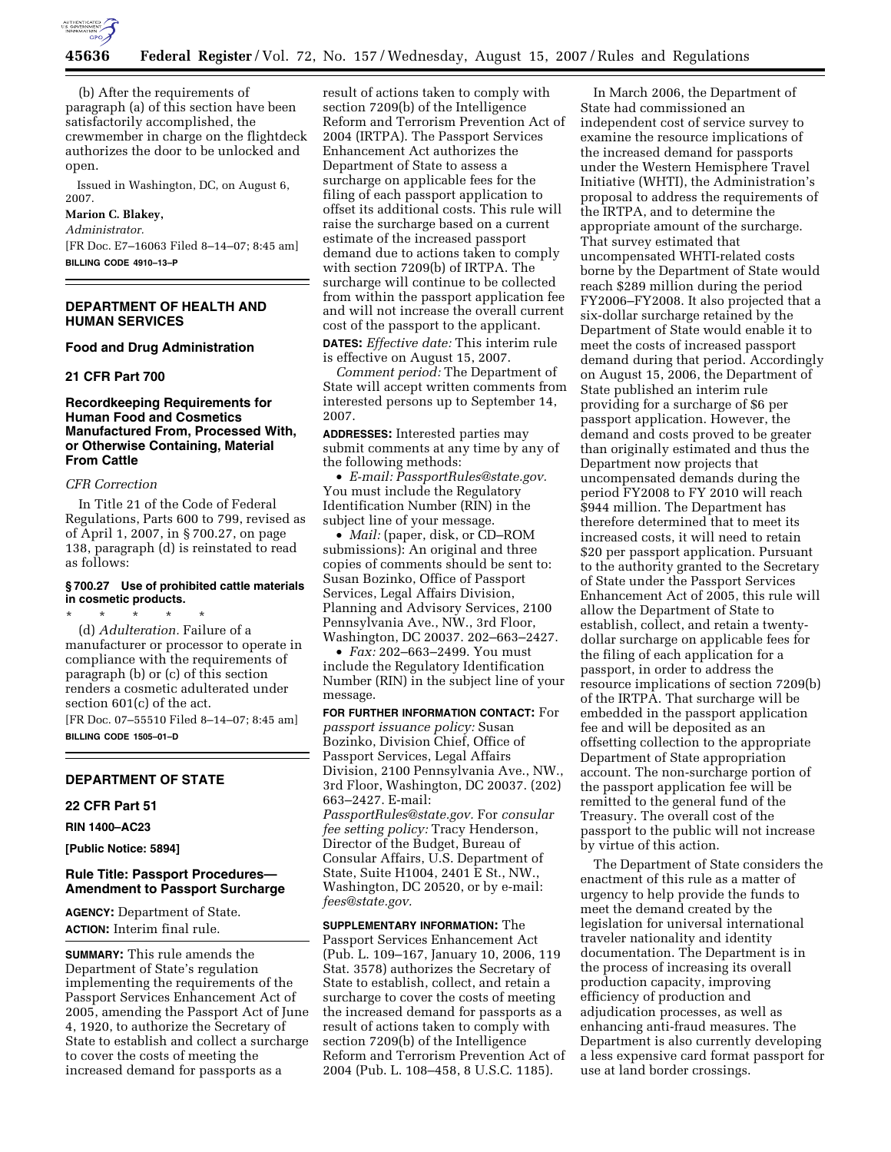

(b) After the requirements of paragraph (a) of this section have been satisfactorily accomplished, the crewmember in charge on the flightdeck authorizes the door to be unlocked and open.

Issued in Washington, DC, on August 6, 2007.

# **Marion C. Blakey,**

*Administrator.*  [FR Doc. E7–16063 Filed 8–14–07; 8:45 am] **BILLING CODE 4910–13–P** 

#### **DEPARTMENT OF HEALTH AND HUMAN SERVICES**

#### **Food and Drug Administration**

### **21 CFR Part 700**

## **Recordkeeping Requirements for Human Food and Cosmetics Manufactured From, Processed With, or Otherwise Containing, Material From Cattle**

#### *CFR Correction*

In Title 21 of the Code of Federal Regulations, Parts 600 to 799, revised as of April 1, 2007, in § 700.27, on page 138, paragraph (d) is reinstated to read as follows:

#### **§ 700.27 Use of prohibited cattle materials in cosmetic products.**

\* \* \* \* \* (d) *Adulteration.* Failure of a manufacturer or processor to operate in compliance with the requirements of paragraph (b) or (c) of this section renders a cosmetic adulterated under section 601(c) of the act. [FR Doc. 07–55510 Filed 8–14–07; 8:45 am]

**BILLING CODE 1505–01–D** 

## **DEPARTMENT OF STATE**

## **22 CFR Part 51**

**RIN 1400–AC23** 

**[Public Notice: 5894]** 

#### **Rule Title: Passport Procedures— Amendment to Passport Surcharge**

**AGENCY:** Department of State. **ACTION:** Interim final rule.

**SUMMARY:** This rule amends the Department of State's regulation implementing the requirements of the Passport Services Enhancement Act of 2005, amending the Passport Act of June 4, 1920, to authorize the Secretary of State to establish and collect a surcharge to cover the costs of meeting the increased demand for passports as a

result of actions taken to comply with section 7209(b) of the Intelligence Reform and Terrorism Prevention Act of 2004 (IRTPA). The Passport Services Enhancement Act authorizes the Department of State to assess a surcharge on applicable fees for the filing of each passport application to offset its additional costs. This rule will raise the surcharge based on a current estimate of the increased passport demand due to actions taken to comply with section 7209(b) of IRTPA. The surcharge will continue to be collected from within the passport application fee and will not increase the overall current cost of the passport to the applicant.

**DATES:** *Effective date:* This interim rule is effective on August 15, 2007.

*Comment period:* The Department of State will accept written comments from interested persons up to September 14, 2007.

**ADDRESSES:** Interested parties may submit comments at any time by any of the following methods:

• *E-mail: PassportRules@state.gov.*  You must include the Regulatory Identification Number (RIN) in the subject line of your message.

• *Mail:* (paper, disk, or CD–ROM submissions): An original and three copies of comments should be sent to: Susan Bozinko, Office of Passport Services, Legal Affairs Division, Planning and Advisory Services, 2100 Pennsylvania Ave., NW., 3rd Floor, Washington, DC 20037. 202–663–2427.

• *Fax:* 202–663–2499. You must include the Regulatory Identification Number (RIN) in the subject line of your message.

**FOR FURTHER INFORMATION CONTACT:** For *passport issuance policy:* Susan Bozinko, Division Chief, Office of Passport Services, Legal Affairs Division, 2100 Pennsylvania Ave., NW., 3rd Floor, Washington, DC 20037. (202) 663–2427. E-mail: *PassportRules@state.gov.* For *consular* 

*fee setting policy:* Tracy Henderson, Director of the Budget, Bureau of Consular Affairs, U.S. Department of State, Suite H1004, 2401 E St., NW., Washington, DC 20520, or by e-mail: *fees@state.gov.* 

**SUPPLEMENTARY INFORMATION:** The Passport Services Enhancement Act (Pub. L. 109–167, January 10, 2006, 119 Stat. 3578) authorizes the Secretary of State to establish, collect, and retain a surcharge to cover the costs of meeting the increased demand for passports as a result of actions taken to comply with section 7209(b) of the Intelligence Reform and Terrorism Prevention Act of 2004 (Pub. L. 108–458, 8 U.S.C. 1185).

In March 2006, the Department of State had commissioned an independent cost of service survey to examine the resource implications of the increased demand for passports under the Western Hemisphere Travel Initiative (WHTI), the Administration's proposal to address the requirements of the IRTPA, and to determine the appropriate amount of the surcharge. That survey estimated that uncompensated WHTI-related costs borne by the Department of State would reach \$289 million during the period FY2006–FY2008. It also projected that a six-dollar surcharge retained by the Department of State would enable it to meet the costs of increased passport demand during that period. Accordingly on August 15, 2006, the Department of State published an interim rule providing for a surcharge of \$6 per passport application. However, the demand and costs proved to be greater than originally estimated and thus the Department now projects that uncompensated demands during the period FY2008 to FY 2010 will reach \$944 million. The Department has therefore determined that to meet its increased costs, it will need to retain \$20 per passport application. Pursuant to the authority granted to the Secretary of State under the Passport Services Enhancement Act of 2005, this rule will allow the Department of State to establish, collect, and retain a twentydollar surcharge on applicable fees for the filing of each application for a passport, in order to address the resource implications of section 7209(b) of the IRTPA. That surcharge will be embedded in the passport application fee and will be deposited as an offsetting collection to the appropriate Department of State appropriation account. The non-surcharge portion of the passport application fee will be remitted to the general fund of the Treasury. The overall cost of the passport to the public will not increase by virtue of this action.

The Department of State considers the enactment of this rule as a matter of urgency to help provide the funds to meet the demand created by the legislation for universal international traveler nationality and identity documentation. The Department is in the process of increasing its overall production capacity, improving efficiency of production and adjudication processes, as well as enhancing anti-fraud measures. The Department is also currently developing a less expensive card format passport for use at land border crossings.